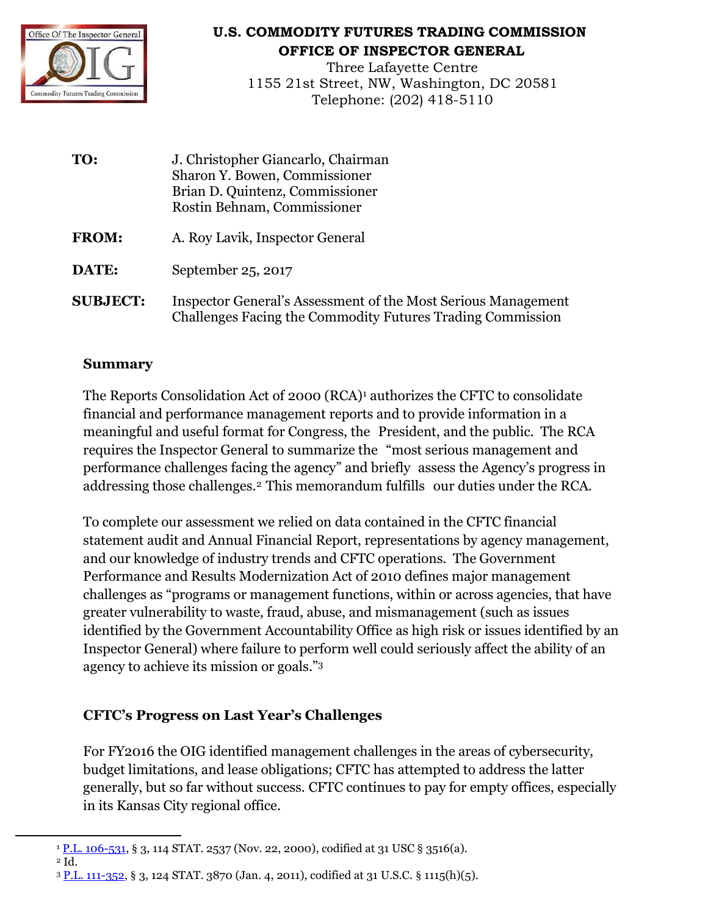

## **U.S. COMMODITY FUTURES TRADING COMMISSION OFFICE OF INSPECTOR GENERAL**

Three Lafayette Centre 1155 21st Street, NW, Washington, DC 20581 Telephone: (202) 418-5110

**TO:** J. Christopher Giancarlo, Chairman Sharon Y. Bowen, Commissioner Brian D. Quintenz, Commissioner Rostin Behnam, Commissioner **FROM:** A. Roy Lavik, Inspector General **DATE:** September 25, 2017 **SUBJECT:** Inspector General's Assessment of the Most Serious Management Challenges Facing the Commodity Futures Trading Commission

## **Summary**

The Reports Consolidation Act of 2000 (RCA)<sup>1</sup> authorizes the CFTC to consolidate financial and performance management reports and to provide information in a meaningful and useful format for Congress, the President, and the public. The RCA requires the Inspector General to summarize the "most serious management and performance challenges facing the agency" and briefly assess the Agency's progress in addressing those challenges.<sup>2</sup> This memorandum fulfills our duties under the RCA.

To complete our assessment we relied on data contained in the CFTC financial statement audit and Annual Financial Report, representations by agency management, and our knowledge of industry trends and CFTC operations. The Government Performance and Results Modernization Act of 2010 defines major management challenges as "programs or management functions, within or across agencies, that have greater vulnerability to waste, fraud, abuse, and mismanagement (such as issues identified by the Government Accountability Office as high risk or issues identified by an Inspector General) where failure to perform well could seriously affect the ability of an agency to achieve its mission or goals." 3

## **CFTC's Progress on Last Year's Challenges**

For FY2016 the OIG identified management challenges in the areas of cybersecurity, budget limitations, and lease obligations; CFTC has attempted to address the latter generally, but so far without success. CFTC continues to pay for empty offices, especially in its Kansas City regional office.

<sup>2</sup> Id.

 $\overline{a}$ 

<sup>&</sup>lt;sup>1</sup> [P.L. 106-531,](https://www.google.com/url?sa=t&rct=j&q=&esrc=s&source=web&cd=3&cad=rja&uact=8&ved=0ahUKEwip6smupLbWAhXG7yYKHUDnDXIQFggwMAI&url=https%3A%2F%2Fwww.gpo.gov%2Ffdsys%2Fpkg%2FPLAW-111publ352%2Fpdf%2FPLAW-111publ352.pdf&usg=AFQjCNFIi76oMMZ47mEcRBtj3m4RU67zKQ) § 3, 114 STAT. 2537 (Nov. 22, 2000), codified at 31 USC § 3516(a).

<sup>3</sup> [P.L. 111-352,](https://www.google.com/url?sa=t&rct=j&q=&esrc=s&source=web&cd=3&cad=rja&uact=8&ved=0ahUKEwip6smupLbWAhXG7yYKHUDnDXIQFggwMAI&url=https%3A%2F%2Fwww.gpo.gov%2Ffdsys%2Fpkg%2FPLAW-111publ352%2Fpdf%2FPLAW-111publ352.pdf&usg=AFQjCNFIi76oMMZ47mEcRBtj3m4RU67zKQ) § 3, 124 STAT. 3870 (Jan. 4, 2011), codified at 31 U.S.C. § 1115(h)(5).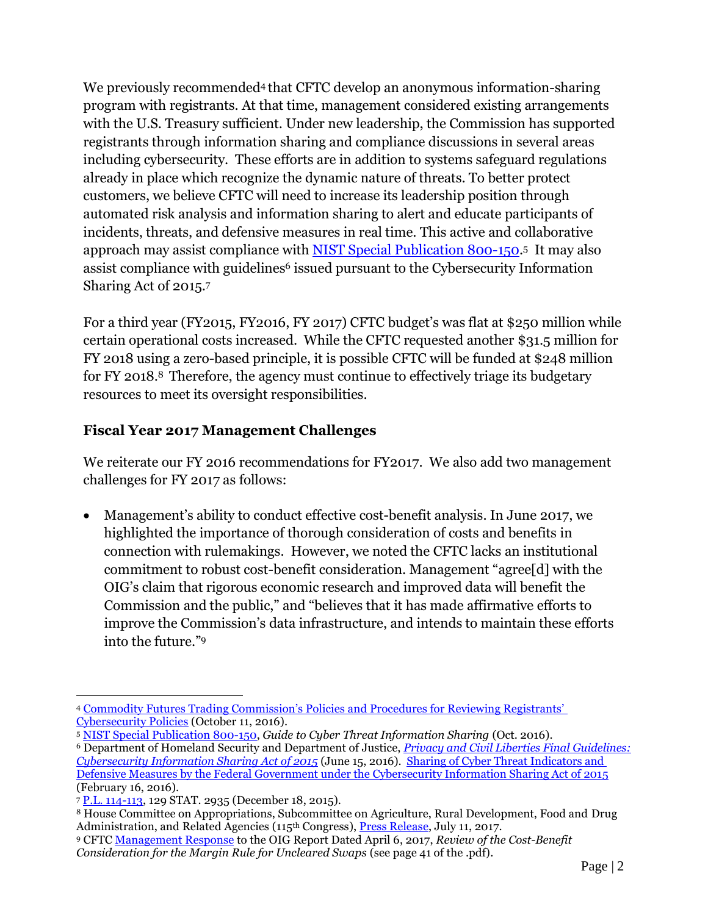We previously recommended<sup>4</sup> that CFTC develop an anonymous information-sharing program with registrants. At that time, management considered existing arrangements with the U.S. Treasury sufficient. Under new leadership, the Commission has supported registrants through information sharing and compliance discussions in several areas including cybersecurity. These efforts are in addition to systems safeguard regulations already in place which recognize the dynamic nature of threats. To better protect customers, we believe CFTC will need to increase its leadership position through automated risk analysis and information sharing to alert and educate participants of incidents, threats, and defensive measures in real time. This active and collaborative approach may assist compliance with <u>NIST Special Publication 800-150</u>.5 It may also assist compliance with guidelines<sup>6</sup> issued pursuant to the Cybersecurity Information Sharing Act of 2015.<sup>7</sup>

For a third year (FY2015, FY2016, FY 2017) CFTC budget's was flat at \$250 million while certain operational costs increased. While the CFTC requested another \$31.5 million for FY 2018 using a zero-based principle, it is possible CFTC will be funded at \$248 million for FY 2018.8 Therefore, the agency must continue to effectively triage its budgetary resources to meet its oversight responsibilities.

## **Fiscal Year 2017 Management Challenges**

We reiterate our FY 2016 recommendations for FY2017. We also add two management challenges for FY 2017 as follows:

 Management's ability to conduct effective cost-benefit analysis. In June 2017, we highlighted the importance of thorough consideration of costs and benefits in connection with rulemakings. However, we noted the CFTC lacks an institutional commitment to robust cost-benefit consideration. Management "agree[d] with the OIG's claim that rigorous economic research and improved data will benefit the Commission and the public," and "believes that it has made affirmative efforts to improve the Commission's data infrastructure, and intends to maintain these efforts into the future."<sup>9</sup>

 $\overline{\phantom{a}}$ <sup>4</sup> [Commodity Futures Trading Commission's Policies and Procedures for Reviewing Registrants'](http://www.cftc.gov/About/OfficeoftheInspectorGeneral/ssLINK/oig_rrcp2016)  [Cybersecurity Policies](http://www.cftc.gov/About/OfficeoftheInspectorGeneral/ssLINK/oig_rrcp2016) (October 11, 2016).

<sup>5</sup> [NIST Special Publication 800-150,](http://nvlpubs.nist.gov/nistpubs/SpecialPublications/NIST.SP.800-150.pdf) *Guide to Cyber Threat Information Sharing* (Oct. 2016).

<sup>6</sup> Department of Homeland Security and Department of Justice, *[Privacy and Civil Liberties Final Guidelines:](https://www.us-cert.gov/sites/default/files/ais_files/Privacy_and_Civil_Liberties_Guidelines_%28Sec%20105%28b%29%29.pdf)  [Cybersecurity Information Sharing Act of 2015](https://www.us-cert.gov/sites/default/files/ais_files/Privacy_and_Civil_Liberties_Guidelines_%28Sec%20105%28b%29%29.pdf)* (June 15, 2016). [Sharing of Cyber Threat Indicators and](https://www.us-cert.gov/sites/default/files/ais_files/Federal_Government_Sharing_Guidance_%28103%29.pdf)  [Defensive Measures by the Federal Government under the Cybersecurity Information Sharing Act of 2015](https://www.us-cert.gov/sites/default/files/ais_files/Federal_Government_Sharing_Guidance_%28103%29.pdf) (February 16, 2016).

<sup>7</sup> [P.L. 114-113,](https://www.gpo.gov/fdsys/pkg/PLAW-114publ113/html/PLAW-114publ113.htm) 129 STAT. 2935 (December 18, 2015).

<sup>&</sup>lt;sup>8</sup> House Committee on Appropriations, Subcommittee on Agriculture, Rural Development, Food and Drug Administration, and Related Agencies (115<sup>th</sup> Congress), [Press Release,](http://democrats.appropriations.house.gov/news/press-releases/summary-of-fy2018-agriculture-appropriations-act-committee-mark) July 11, 2017.

<sup>9</sup> CFT[C Management Response t](http://www.cftc.gov/About/OfficeoftheInspectorGeneral/ssLINK/oig_rcbcmrus060517)o the OIG Report Dated April 6, 2017, *Review of the Cost-Benefit Consideration for the Margin Rule for Uncleared Swaps* (see page 41 of the .pdf).